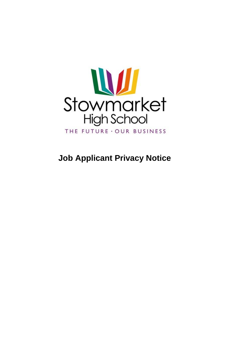

# **Job Applicant Privacy Notice**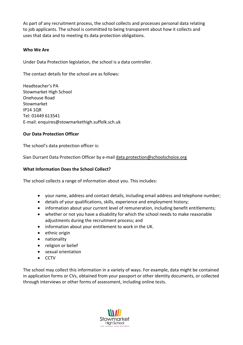As part of any recruitment process, the school collects and processes personal data relating to job applicants. The school is committed to being transparent about how it collects and uses that data and to meeting its data protection obligations.

# **Who We Are**

Under Data Protection legislation, the school is a data controller.

The contact details for the school are as follows:

Headteacher's PA Stowmarket High School Onehouse Road Stowmarket IP14 1QR Tel: 01449 613541 E-mail: enquires@stowmarkethigh.suffolk.sch.uk

# **Our Data Protection Officer**

The school's data protection officer is:

Sian Durrant Data Protection Officer by e-mai[l data.protection@schoolschoice.org](mailto:data.protection@schoolschoice.org)

## **What Information Does the School Collect?**

The school collects a range of information about you. This includes:

- your name, address and contact details, including email address and telephone number;
- details of your qualifications, skills, experience and employment history;
- information about your current level of remuneration, including benefit entitlements;
- whether or not you have a disability for which the school needs to make reasonable adjustments during the recruitment process; and
- information about your entitlement to work in the UK.
- ethnic origin
- nationality
- religion or belief
- sexual orientation
- CCTV

The school may collect this information in a variety of ways. For example, data might be contained in application forms or CVs, obtained from your passport or other identity documents, or collected through interviews or other forms of assessment, including online tests.

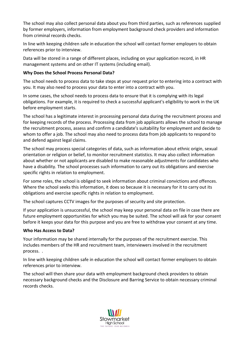The school may also collect personal data about you from third parties, such as references supplied by former employers, information from employment background check providers and information from criminal records checks.

In line with keeping children safe in education the school will contact former employers to obtain references prior to interview.

Data will be stored in a range of different places, including on your application record, in HR management systems and on other IT systems (including email).

# **Why Does the School Process Personal Data?**

The school needs to process data to take steps at your request prior to entering into a contract with you. It may also need to process your data to enter into a contract with you.

In some cases, the school needs to process data to ensure that it is complying with its legal obligations. For example, it is required to check a successful applicant's eligibility to work in the UK before employment starts.

The school has a legitimate interest in processing personal data during the recruitment process and for keeping records of the process. Processing data from job applicants allows the school to manage the recruitment process, assess and confirm a candidate's suitability for employment and decide to whom to offer a job. The school may also need to process data from job applicants to respond to and defend against legal claims.

The school may process special categories of data, such as information about ethnic origin, sexual orientation or religion or belief, to monitor recruitment statistics. It may also collect information about whether or not applicants are disabled to make reasonable adjustments for candidates who have a disability. The school processes such information to carry out its obligations and exercise specific rights in relation to employment.

For some roles, the school is obliged to seek information about criminal convictions and offences. Where the school seeks this information, it does so because it is necessary for it to carry out its obligations and exercise specific rights in relation to employment.

The school captures CCTV images for the purposes of security and site protection.

If your application is unsuccessful, the school may keep your personal data on file in case there are future employment opportunities for which you may be suited. The school will ask for your consent before it keeps your data for this purpose and you are free to withdraw your consent at any time.

## **Who Has Access to Data?**

Your information may be shared internally for the purposes of the recruitment exercise. This includes members of the HR and recruitment team, interviewers involved in the recruitment process. .

In line with keeping children safe in education the school will contact former employers to obtain references prior to interview.

The school will then share your data with employment background check providers to obtain necessary background checks and the Disclosure and Barring Service to obtain necessary criminal records checks.